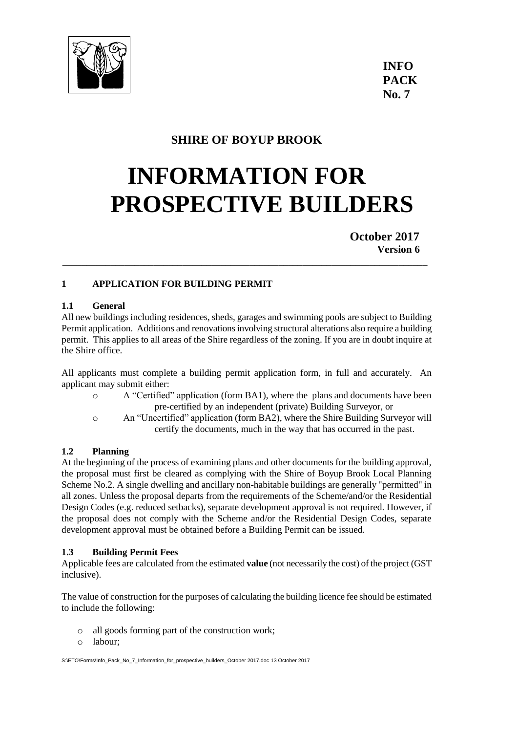

## **SHIRE OF BOYUP BROOK**

# **INFORMATION FOR PROSPECTIVE BUILDERS**

**October 2017 Version 6**

## **1 APPLICATION FOR BUILDING PERMIT**

## **1.1 General**

All new buildings including residences, sheds, garages and swimming pools are subject to Building Permit application. Additions and renovations involving structural alterations also require a building permit. This applies to all areas of the Shire regardless of the zoning. If you are in doubt inquire at the Shire office.

**\_\_\_\_\_\_\_\_\_\_\_\_\_\_\_\_\_\_\_\_\_\_\_\_\_\_\_\_\_\_\_\_\_\_\_\_\_\_\_\_\_\_\_\_\_\_\_\_\_\_\_\_\_\_\_\_\_\_\_\_\_\_\_\_\_\_\_\_\_\_\_\_\_\_\_\_**

All applicants must complete a building permit application form, in full and accurately. An applicant may submit either:

- o A "Certified" application (form BA1), where the plans and documents have been pre-certified by an independent (private) Building Surveyor, or
- o An "Uncertified" application (form BA2), where the Shire Building Surveyor will certify the documents, much in the way that has occurred in the past.

## **1.2 Planning**

At the beginning of the process of examining plans and other documents for the building approval, the proposal must first be cleared as complying with the Shire of Boyup Brook Local Planning Scheme No.2. A single dwelling and ancillary non-habitable buildings are generally "permitted" in all zones. Unless the proposal departs from the requirements of the Scheme/and/or the Residential Design Codes (e.g. reduced setbacks), separate development approval is not required. However, if the proposal does not comply with the Scheme and/or the Residential Design Codes, separate development approval must be obtained before a Building Permit can be issued.

#### **1.3 Building Permit Fees**

Applicable fees are calculated from the estimated **value** (not necessarily the cost) of the project (GST inclusive).

The value of construction for the purposes of calculating the building licence fee should be estimated to include the following:

- o all goods forming part of the construction work;
- o labour;

S:\ETO\Forms\Info\_Pack\_No\_7\_Information\_for\_prospective\_builders\_October 2017.doc 13 October 2017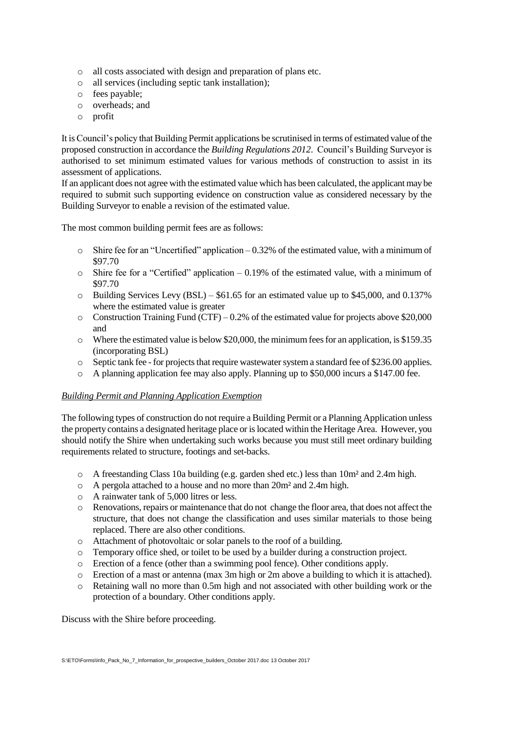- o all costs associated with design and preparation of plans etc.
- o all services (including septic tank installation);
- o fees payable;
- o overheads; and
- o profit

It is Council's policy that Building Permit applications be scrutinised in terms of estimated value of the proposed construction in accordance the *Building Regulations 2012*. Council's Building Surveyor is authorised to set minimum estimated values for various methods of construction to assist in its assessment of applications.

If an applicant does not agree with the estimated value which has been calculated, the applicant may be required to submit such supporting evidence on construction value as considered necessary by the Building Surveyor to enable a revision of the estimated value.

The most common building permit fees are as follows:

- o Shire fee for an "Uncertified" application 0.32% of the estimated value, with a minimum of \$97.70
- $\circ$  Shire fee for a "Certified" application 0.19% of the estimated value, with a minimum of \$97.70
- $\circ$  Building Services Levy (BSL) \$61.65 for an estimated value up to \$45,000, and 0.137% where the estimated value is greater
- $\circ$  Construction Training Fund (CTF) 0.2% of the estimated value for projects above \$20,000 and
- $\circ$  Where the estimated value is below \$20,000, the minimum fees for an application, is \$159.35 (incorporating BSL)
- o Septic tank fee -for projects that require wastewater system a standard fee of \$236.00 applies.
- $\circ$  A planning application fee may also apply. Planning up to \$50,000 incurs a \$147.00 fee.

#### *Building Permit and Planning Application Exemption*

The following types of construction do not require a Building Permit or a Planning Application unless the property contains a designated heritage place or is located within the Heritage Area. However, you should notify the Shire when undertaking such works because you must still meet ordinary building requirements related to structure, footings and set-backs.

- $\circ$  A freestanding Class 10a building (e.g. garden shed etc.) less than 10m<sup>2</sup> and 2.4m high.
- o A pergola attached to a house and no more than 20m² and 2.4m high.
- o A rainwater tank of 5,000 litres or less.
- o Renovations, repairs or maintenance that do not change the floor area, that does not affect the structure, that does not change the classification and uses similar materials to those being replaced. There are also other conditions.
- o Attachment of photovoltaic or solar panels to the roof of a building.
- o Temporary office shed, or toilet to be used by a builder during a construction project.
- o Erection of a fence (other than a swimming pool fence). Other conditions apply.
- o Erection of a mast or antenna (max 3m high or 2m above a building to which it is attached).
- o Retaining wall no more than 0.5m high and not associated with other building work or the protection of a boundary. Other conditions apply.

Discuss with the Shire before proceeding.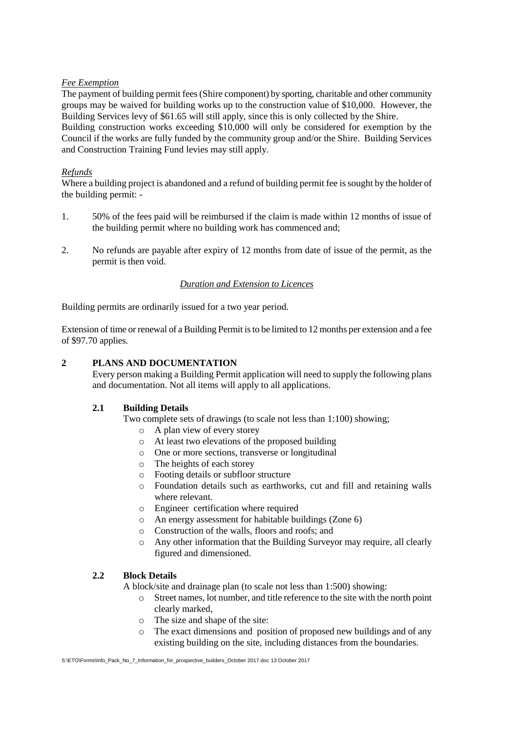#### *Fee Exemption*

The payment of building permit fees (Shire component) by sporting, charitable and other community groups may be waived for building works up to the construction value of \$10,000. However, the Building Services levy of \$61.65 will still apply, since this is only collected by the Shire. Building construction works exceeding \$10,000 will only be considered for exemption by the Council if the works are fully funded by the community group and/or the Shire. Building Services and Construction Training Fund levies may still apply.

#### *Refunds*

Where a building project is abandoned and a refund of building permit fee is sought by the holder of the building permit: -

- 1. 50% of the fees paid will be reimbursed if the claim is made within 12 months of issue of the building permit where no building work has commenced and;
- 2. No refunds are payable after expiry of 12 months from date of issue of the permit, as the permit is then void.

## *Duration and Extension to Licences*

Building permits are ordinarily issued for a two year period.

Extension of time or renewal of a Building Permit is to be limited to 12 months per extension and a fee of \$97.70 applies.

#### **2 PLANS AND DOCUMENTATION**

Every person making a Building Permit application will need to supply the following plans and documentation. Not all items will apply to all applications.

#### **2.1 Building Details**

Two complete sets of drawings (to scale not less than 1:100) showing;

- o A plan view of every storey
- o At least two elevations of the proposed building
- o One or more sections, transverse or longitudinal
- o The heights of each storey
- o Footing details or subfloor structure
- o Foundation details such as earthworks, cut and fill and retaining walls where relevant.
- o Engineer certification where required
- o An energy assessment for habitable buildings (Zone 6)
- o Construction of the walls, floors and roofs; and
- o Any other information that the Building Surveyor may require, all clearly figured and dimensioned.

#### **2.2 Block Details**

A block/site and drainage plan (to scale not less than 1:500) showing:

- o Street names, lot number, and title reference to the site with the north point clearly marked,
- o The size and shape of the site:
- o The exact dimensions and position of proposed new buildings and of any existing building on the site, including distances from the boundaries.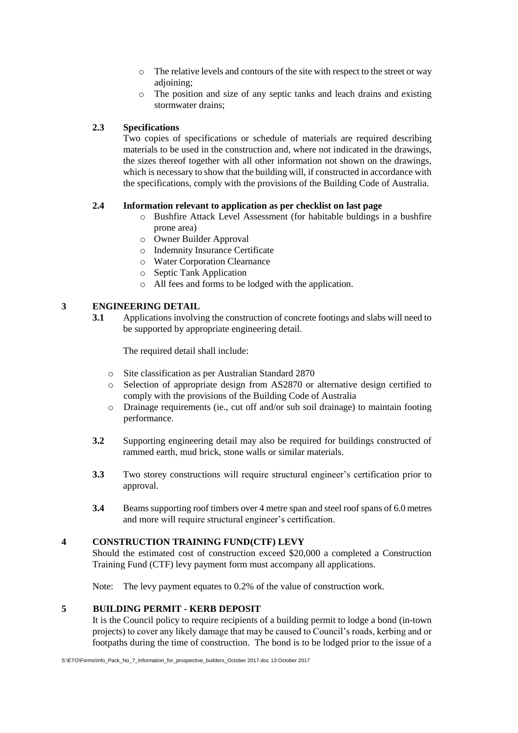- o The relative levels and contours of the site with respect to the street or way adjoining;
- o The position and size of any septic tanks and leach drains and existing stormwater drains;

## **2.3 Specifications**

Two copies of specifications or schedule of materials are required describing materials to be used in the construction and, where not indicated in the drawings, the sizes thereof together with all other information not shown on the drawings, which is necessary to show that the building will, if constructed in accordance with the specifications, comply with the provisions of the Building Code of Australia.

#### **2.4 Information relevant to application as per checklist on last page**

- o Bushfire Attack Level Assessment (for habitable buldings in a bushfire prone area)
- o Owner Builder Approval
- o Indemnity Insurance Certificate
- o Water Corporation Clearnance
- o Septic Tank Application
- o All fees and forms to be lodged with the application.

#### **3 ENGINEERING DETAIL**

**3.1** Applications involving the construction of concrete footings and slabs will need to be supported by appropriate engineering detail.

The required detail shall include:

- o Site classification as per Australian Standard 2870
- o Selection of appropriate design from AS2870 or alternative design certified to comply with the provisions of the Building Code of Australia
- o Drainage requirements (ie., cut off and/or sub soil drainage) to maintain footing performance.
- **3.2** Supporting engineering detail may also be required for buildings constructed of rammed earth, mud brick, stone walls or similar materials.
- **3.3** Two storey constructions will require structural engineer's certification prior to approval.
- **3.4** Beams supporting roof timbers over 4 metre span and steel roof spans of 6.0 metres and more will require structural engineer's certification.

#### **4 CONSTRUCTION TRAINING FUND(CTF) LEVY**

Should the estimated cost of construction exceed \$20,000 a completed a Construction Training Fund (CTF) levy payment form must accompany all applications.

Note: The levy payment equates to 0.2% of the value of construction work.

#### **5 BUILDING PERMIT - KERB DEPOSIT**

It is the Council policy to require recipients of a building permit to lodge a bond (in-town projects) to cover any likely damage that may be caused to Council's roads, kerbing and or footpaths during the time of construction. The bond is to be lodged prior to the issue of a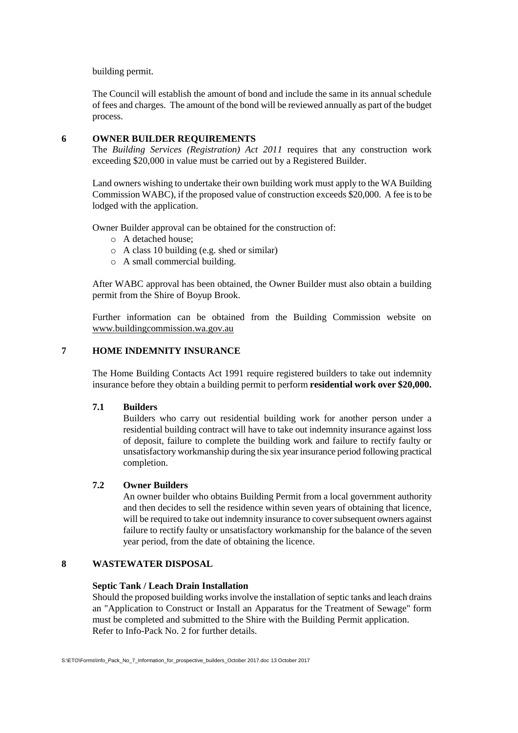#### building permit.

The Council will establish the amount of bond and include the same in its annual schedule of fees and charges. The amount of the bond will be reviewed annually as part of the budget process.

#### **6 OWNER BUILDER REQUIREMENTS**

The *Building Services (Registration) Act 2011* requires that any construction work exceeding \$20,000 in value must be carried out by a Registered Builder.

Land owners wishing to undertake their own building work must apply to the WA Building Commission WABC), if the proposed value of construction exceeds \$20,000. A fee is to be lodged with the application.

Owner Builder approval can be obtained for the construction of:

- o A detached house;
- o A class 10 building (e.g. shed or similar)
- o A small commercial building.

After WABC approval has been obtained, the Owner Builder must also obtain a building permit from the Shire of Boyup Brook.

Further information can be obtained from the Building Commission website on [www.buildingcommission.wa.gov.au](http://www.buildingcommission.wa.gov.au/)

#### **7 HOME INDEMNITY INSURANCE**

The Home Building Contacts Act 1991 require registered builders to take out indemnity insurance before they obtain a building permit to perform **residential work over \$20,000.**

#### **7.1 Builders**

Builders who carry out residential building work for another person under a residential building contract will have to take out indemnity insurance against loss of deposit, failure to complete the building work and failure to rectify faulty or unsatisfactory workmanship during the six year insurance period following practical completion.

#### **7.2 Owner Builders**

An owner builder who obtains Building Permit from a local government authority and then decides to sell the residence within seven years of obtaining that licence, will be required to take out indemnity insurance to cover subsequent owners against failure to rectify faulty or unsatisfactory workmanship for the balance of the seven year period, from the date of obtaining the licence.

#### **8 WASTEWATER DISPOSAL**

#### **Septic Tank / Leach Drain Installation**

Should the proposed building works involve the installation of septic tanks and leach drains an "Application to Construct or Install an Apparatus for the Treatment of Sewage" form must be completed and submitted to the Shire with the Building Permit application. Refer to Info-Pack No. 2 for further details.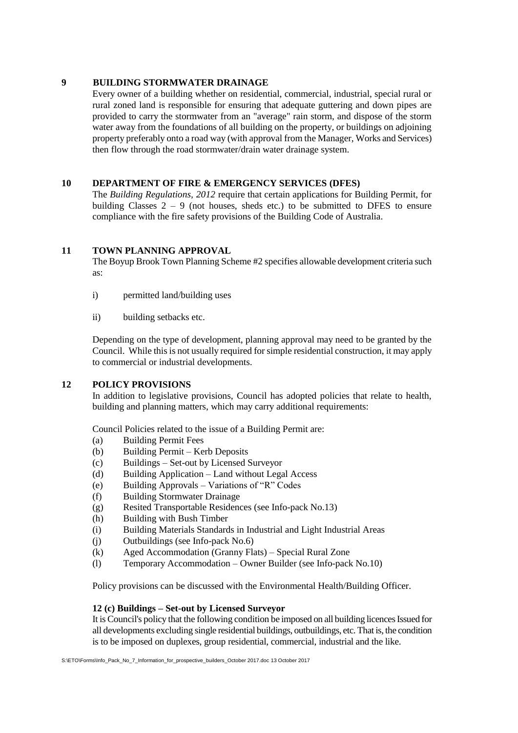#### **9 BUILDING STORMWATER DRAINAGE**

Every owner of a building whether on residential, commercial, industrial, special rural or rural zoned land is responsible for ensuring that adequate guttering and down pipes are provided to carry the stormwater from an "average" rain storm, and dispose of the storm water away from the foundations of all building on the property, or buildings on adjoining property preferably onto a road way (with approval from the Manager, Works and Services) then flow through the road stormwater/drain water drainage system.

#### **10 DEPARTMENT OF FIRE & EMERGENCY SERVICES (DFES)**

The *Building Regulations, 2012* require that certain applications for Building Permit, for building Classes  $2 - 9$  (not houses, sheds etc.) to be submitted to DFES to ensure compliance with the fire safety provisions of the Building Code of Australia.

#### **11 TOWN PLANNING APPROVAL**

The Boyup Brook Town Planning Scheme #2 specifies allowable development criteria such as:

- i) permitted land/building uses
- ii) building setbacks etc.

Depending on the type of development, planning approval may need to be granted by the Council. While this is not usually required for simple residential construction, it may apply to commercial or industrial developments.

## **12 POLICY PROVISIONS**

In addition to legislative provisions, Council has adopted policies that relate to health, building and planning matters, which may carry additional requirements:

Council Policies related to the issue of a Building Permit are:

- (a) Building Permit Fees
- (b) Building Permit Kerb Deposits
- (c) Buildings Set-out by Licensed Surveyor
- (d) Building Application Land without Legal Access
- (e) Building Approvals Variations of "R" Codes
- (f) Building Stormwater Drainage
- (g) Resited Transportable Residences (see Info-pack No.13)
- (h) Building with Bush Timber
- (i) Building Materials Standards in Industrial and Light Industrial Areas
- (j) Outbuildings (see Info-pack No.6)
- (k) Aged Accommodation (Granny Flats) Special Rural Zone
- (l) Temporary Accommodation Owner Builder (see Info-pack No.10)

Policy provisions can be discussed with the Environmental Health/Building Officer.

#### **12 (c) Buildings – Set-out by Licensed Surveyor**

It is Council's policy that the following condition be imposed on all building licences Issued for all developments excluding single residential buildings, outbuildings, etc. That is, the condition is to be imposed on duplexes, group residential, commercial, industrial and the like.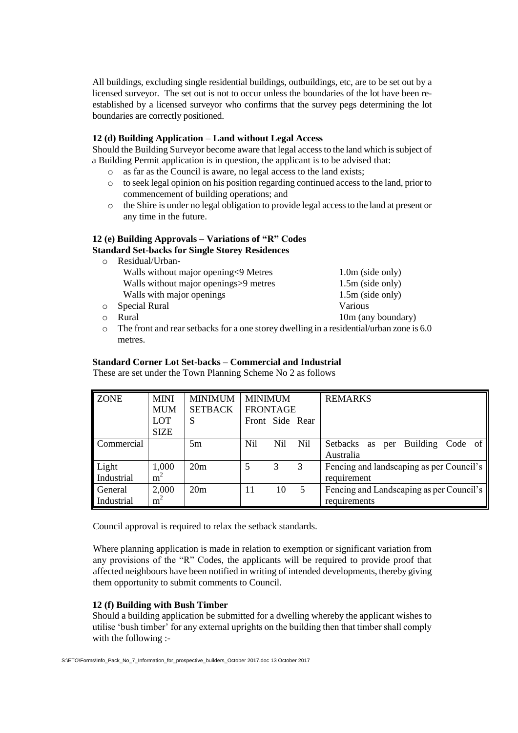All buildings, excluding single residential buildings, outbuildings, etc, are to be set out by a licensed surveyor. The set out is not to occur unless the boundaries of the lot have been reestablished by a licensed surveyor who confirms that the survey pegs determining the lot boundaries are correctly positioned.

#### **12 (d) Building Application – Land without Legal Access**

Should the Building Surveyor become aware that legal access to the land which is subject of a Building Permit application is in question, the applicant is to be advised that:

- o as far as the Council is aware, no legal access to the land exists;
- $\circ$  to seek legal opinion on his position regarding continued access to the land, prior to commencement of building operations; and
- o the Shire is under no legal obligation to provide legal access to the land at present or any time in the future.

#### **12 (e) Building Approvals – Variations of "R" Codes Standard Set-backs for Single Storey Residences**

| $\circ$  | Residual/Urban-                       |                    |
|----------|---------------------------------------|--------------------|
|          | Walls without major opening<9 Metres  | $1.0m$ (side only) |
|          | Walls without major openings>9 metres | $1.5m$ (side only) |
|          | Walls with major openings             | $1.5m$ (side only) |
| $\circ$  | Special Rural                         | Various            |
| $\Omega$ | Rural                                 | 10m (any boundary) |
|          |                                       |                    |

o The front and rear setbacks for a one storey dwelling in a residential/urban zone is 6.0 metres.

#### **Standard Corner Lot Set-backs – Commercial and Industrial**

These are set under the Town Planning Scheme No 2 as follows

| <b>ZONE</b>           | <b>MINI</b><br><b>MUM</b> | <b>MINIMUM</b><br><b>SETBACK</b> | <b>MINIMUM</b><br><b>FRONTAGE</b> |     |            | <b>REMARKS</b>                                           |
|-----------------------|---------------------------|----------------------------------|-----------------------------------|-----|------------|----------------------------------------------------------|
|                       | <b>LOT</b><br><b>SIZE</b> | S                                | Front Side Rear                   |     |            |                                                          |
| Commercial            |                           | 5m                               | <b>Nil</b>                        | Nil | <b>Nil</b> | Building Code of<br>Setbacks<br>per<br>as<br>Australia   |
| Light<br>Industrial   | 1,000<br>m <sup>2</sup>   | 20m                              |                                   |     | 3          | Fencing and landscaping as per Council's<br>requirement  |
| General<br>Industrial | 2,000<br>$m^2$            | 20m                              | 11                                | 10  | 5          | Fencing and Landscaping as per Council's<br>requirements |

Council approval is required to relax the setback standards.

Where planning application is made in relation to exemption or significant variation from any provisions of the "R" Codes, the applicants will be required to provide proof that affected neighbours have been notified in writing of intended developments, thereby giving them opportunity to submit comments to Council.

#### **12 (f) Building with Bush Timber**

Should a building application be submitted for a dwelling whereby the applicant wishes to utilise 'bush timber' for any external uprights on the building then that timber shall comply with the following :-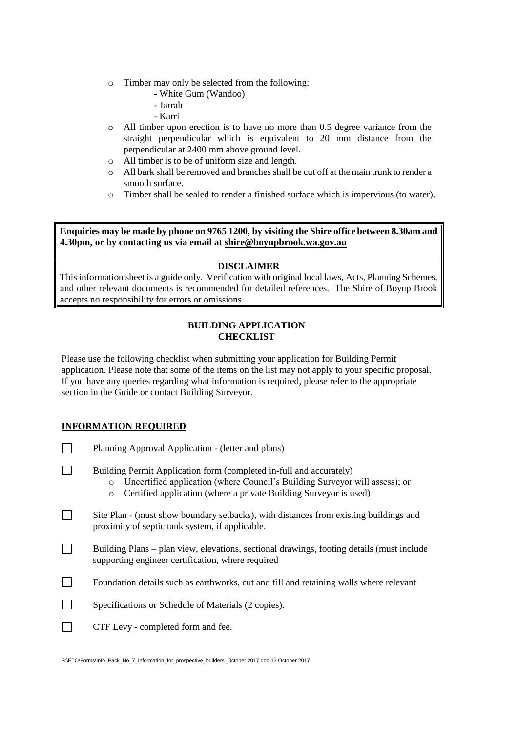- o Timber may only be selected from the following:
	- White Gum (Wandoo)
	- Jarrah
	- Karri
- o All timber upon erection is to have no more than 0.5 degree variance from the straight perpendicular which is equivalent to 20 mm distance from the perpendicular at 2400 mm above ground level.
- o All timber is to be of uniform size and length.
- o All bark shall be removed and branches shall be cut off at the main trunk to render a smooth surface.
- o Timber shall be sealed to render a finished surface which is impervious (to water).

**Enquiries may be made by phone on 9765 1200, by visiting the Shire office between 8.30am and 4.30pm, or by contacting us via email at [shire@boyupbrook.wa.gov.au](mailto:shire@boyupbrook.wa.gov.au)**

#### **DISCLAIMER**

This information sheet is a guide only. Verification with original local laws, Acts, Planning Schemes, and other relevant documents is recommended for detailed references. The Shire of Boyup Brook accepts no responsibility for errors or omissions.

#### **BUILDING APPLICATION CHECKLIST**

Please use the following checklist when submitting your application for Building Permit application. Please note that some of the items on the list may not apply to your specific proposal. If you have any queries regarding what information is required, please refer to the appropriate section in the Guide or contact Building Surveyor.

## **INFORMATION REQUIRED**

| Planning Approval Application - (letter and plans)                                                                                                                                                                                            |  |  |  |
|-----------------------------------------------------------------------------------------------------------------------------------------------------------------------------------------------------------------------------------------------|--|--|--|
| Building Permit Application form (completed in-full and accurately)<br>Uncertified application (where Council's Building Surveyor will assess); or<br>$\circ$<br>Certified application (where a private Building Surveyor is used)<br>$\circ$ |  |  |  |
| Site Plan - (must show boundary setbacks), with distances from existing buildings and<br>proximity of septic tank system, if applicable.                                                                                                      |  |  |  |
| Building Plans – plan view, elevations, sectional drawings, footing details (must include<br>supporting engineer certification, where required                                                                                                |  |  |  |
| Foundation details such as earthworks, cut and fill and retaining walls where relevant                                                                                                                                                        |  |  |  |
| Specifications or Schedule of Materials (2 copies).                                                                                                                                                                                           |  |  |  |
| CTF Levy - completed form and fee.                                                                                                                                                                                                            |  |  |  |